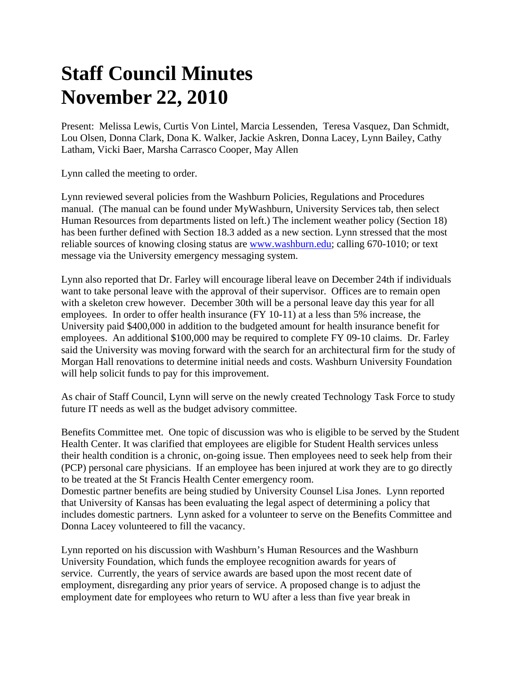## **Staff Council Minutes November 22, 2010**

Present: Melissa Lewis, Curtis Von Lintel, Marcia Lessenden, Teresa Vasquez, Dan Schmidt, Lou Olsen, Donna Clark, Dona K. Walker, Jackie Askren, Donna Lacey, Lynn Bailey, Cathy Latham, Vicki Baer, Marsha Carrasco Cooper, May Allen

Lynn called the meeting to order.

Lynn reviewed several policies from the Washburn Policies, Regulations and Procedures manual. (The manual can be found under MyWashburn, University Services tab, then select Human Resources from departments listed on left.) The inclement weather policy (Section 18) has been further defined with Section 18.3 added as a new section. Lynn stressed that the most reliable sources of knowing closing status are www.washburn.edu; calling 670-1010; or text message via the University emergency messaging system.

Lynn also reported that Dr. Farley will encourage liberal leave on December 24th if individuals want to take personal leave with the approval of their supervisor. Offices are to remain open with a skeleton crew however. December 30th will be a personal leave day this year for all employees. In order to offer health insurance (FY 10-11) at a less than 5% increase, the University paid \$400,000 in addition to the budgeted amount for health insurance benefit for employees. An additional \$100,000 may be required to complete FY 09-10 claims. Dr. Farley said the University was moving forward with the search for an architectural firm for the study of Morgan Hall renovations to determine initial needs and costs. Washburn University Foundation will help solicit funds to pay for this improvement.

As chair of Staff Council, Lynn will serve on the newly created Technology Task Force to study future IT needs as well as the budget advisory committee.

Benefits Committee met. One topic of discussion was who is eligible to be served by the Student Health Center. It was clarified that employees are eligible for Student Health services unless their health condition is a chronic, on-going issue. Then employees need to seek help from their (PCP) personal care physicians. If an employee has been injured at work they are to go directly to be treated at the St Francis Health Center emergency room.

Domestic partner benefits are being studied by University Counsel Lisa Jones. Lynn reported that University of Kansas has been evaluating the legal aspect of determining a policy that includes domestic partners. Lynn asked for a volunteer to serve on the Benefits Committee and Donna Lacey volunteered to fill the vacancy.

Lynn reported on his discussion with Washburn's Human Resources and the Washburn University Foundation, which funds the employee recognition awards for years of service. Currently, the years of service awards are based upon the most recent date of employment, disregarding any prior years of service. A proposed change is to adjust the employment date for employees who return to WU after a less than five year break in